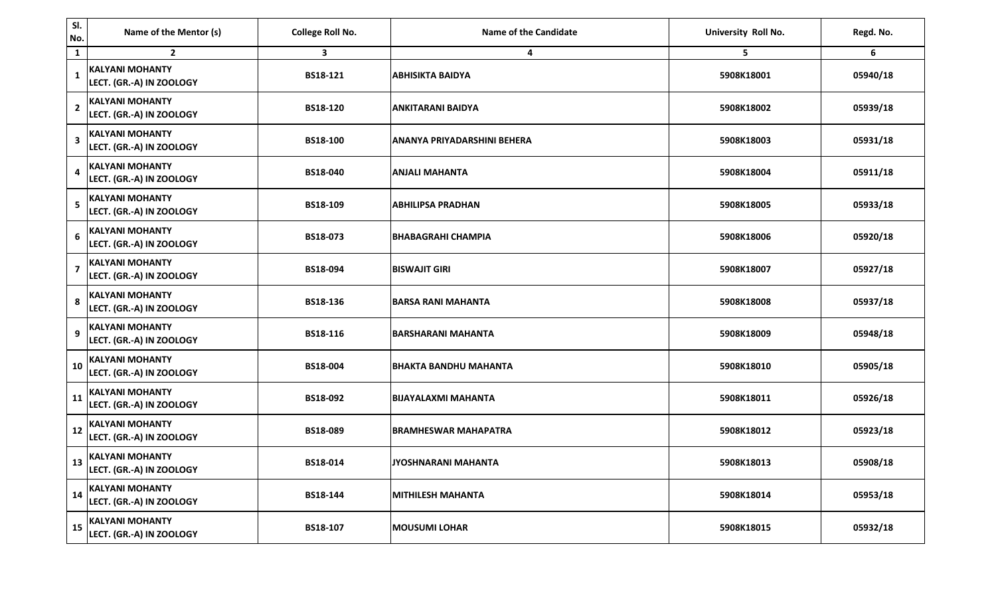| SI.<br>No.     | Name of the Mentor (s)                             | <b>College Roll No.</b> | <b>Name of the Candidate</b>       | University Roll No. | Regd. No. |
|----------------|----------------------------------------------------|-------------------------|------------------------------------|---------------------|-----------|
| $\mathbf{1}$   | $\mathbf{2}$                                       | 3                       | 4                                  | 5                   | 6         |
| 1              | <b>KALYANI MOHANTY</b><br>LECT. (GR.-A) IN ZOOLOGY | BS18-121                | <b>ABHISIKTA BAIDYA</b>            | 5908K18001          | 05940/18  |
| $\overline{2}$ | <b>KALYANI MOHANTY</b><br>LECT. (GR.-A) IN ZOOLOGY | BS18-120                | <b>ANKITARANI BAIDYA</b>           | 5908K18002          | 05939/18  |
| 3              | <b>KALYANI MOHANTY</b><br>LECT. (GR.-A) IN ZOOLOGY | BS18-100                | <b>ANANYA PRIYADARSHINI BEHERA</b> | 5908K18003          | 05931/18  |
| 4              | <b>KALYANI MOHANTY</b><br>LECT. (GR.-A) IN ZOOLOGY | BS18-040                | <b>ANJALI MAHANTA</b>              | 5908K18004          | 05911/18  |
| 5              | <b>KALYANI MOHANTY</b><br>LECT. (GR.-A) IN ZOOLOGY | BS18-109                | <b>ABHILIPSA PRADHAN</b>           | 5908K18005          | 05933/18  |
| 6              | <b>KALYANI MOHANTY</b><br>LECT. (GR.-A) IN ZOOLOGY | BS18-073                | BHABAGRAHI CHAMPIA                 | 5908K18006          | 05920/18  |
| 7              | <b>KALYANI MOHANTY</b><br>LECT. (GR.-A) IN ZOOLOGY | BS18-094                | <b>BISWAJIT GIRI</b>               | 5908K18007          | 05927/18  |
| 8              | <b>KALYANI MOHANTY</b><br>LECT. (GR.-A) IN ZOOLOGY | BS18-136                | <b>BARSA RANI MAHANTA</b>          | 5908K18008          | 05937/18  |
| 9              | <b>KALYANI MOHANTY</b><br>LECT. (GR.-A) IN ZOOLOGY | <b>BS18-116</b>         | BARSHARANI MAHANTA                 | 5908K18009          | 05948/18  |
| 10             | <b>KALYANI MOHANTY</b><br>LECT. (GR.-A) IN ZOOLOGY | BS18-004                | BHAKTA BANDHU MAHANTA              | 5908K18010          | 05905/18  |
| 11             | <b>KALYANI MOHANTY</b><br>LECT. (GR.-A) IN ZOOLOGY | BS18-092                | <b>BIJAYALAXMI MAHANTA</b>         | 5908K18011          | 05926/18  |
| 12             | <b>KALYANI MOHANTY</b><br>LECT. (GR.-A) IN ZOOLOGY | BS18-089                | <b>IBRAMHESWAR MAHAPATRA</b>       | 5908K18012          | 05923/18  |
| 13             | <b>KALYANI MOHANTY</b><br>LECT. (GR.-A) IN ZOOLOGY | BS18-014                | JYOSHNARANI MAHANTA                | 5908K18013          | 05908/18  |
| 14             | <b>KALYANI MOHANTY</b><br>LECT. (GR.-A) IN ZOOLOGY | BS18-144                | <b>MITHILESH MAHANTA</b>           | 5908K18014          | 05953/18  |
| 15             | <b>KALYANI MOHANTY</b><br>LECT. (GR.-A) IN ZOOLOGY | BS18-107                | <b>MOUSUMI LOHAR</b>               | 5908K18015          | 05932/18  |